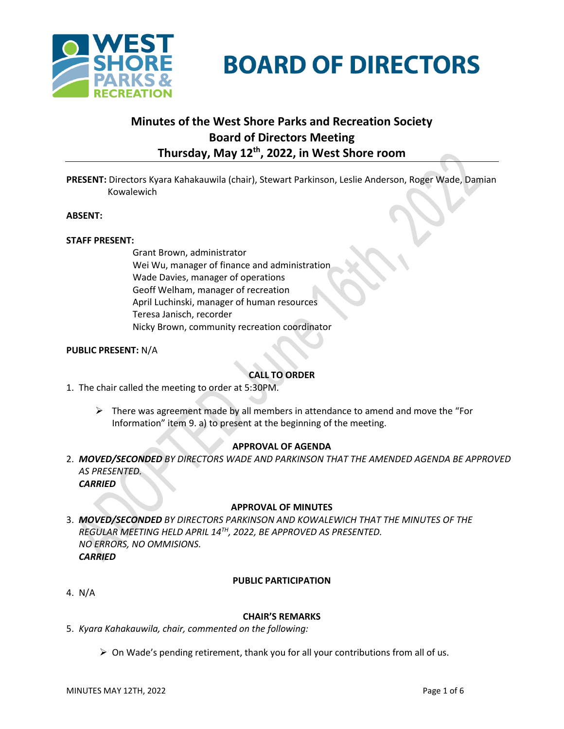

**BOARD OF DIRECTORS** 

# **Minutes of the West Shore Parks and Recreation Society Board of Directors Meeting Thursday, May 12 th , 2022, in West Shore room**

**PRESENT:** Directors Kyara Kahakauwila (chair), Stewart Parkinson, Leslie Anderson, Roger Wade, Damian Kowalewich

#### **ABSENT:**

#### **STAFF PRESENT:**

Grant Brown, administrator Wei Wu, manager of finance and administration Wade Davies, manager of operations Geoff Welham, manager of recreation April Luchinski, manager of human resources Teresa Janisch, recorder Nicky Brown, community recreation coordinator

#### **PUBLIC PRESENT:** N/A

## **CALL TO ORDER**

- 1. The chair called the meeting to order at 5:30PM.
	- $\triangleright$  There was agreement made by all members in attendance to amend and move the "For Information" item 9. a) to present at the beginning of the meeting.

## **APPROVAL OF AGENDA**

2. *MOVED/SECONDED BY DIRECTORS WADE AND PARKINSON THAT THE AMENDED AGENDA BE APPROVED AS PRESENTED. CARRIED*

#### **APPROVAL OF MINUTES**

3. *MOVED/SECONDED BY DIRECTORS PARKINSON AND KOWALEWICH THAT THE MINUTES OF THE REGULAR MEETING HELD APRIL 14 TH, 2022, BE APPROVED AS PRESENTED. NO ERRORS, NO OMMISIONS. CARRIED*

#### **PUBLIC PARTICIPATION**

4. N/A

#### **CHAIR'S REMARKS**

- 5. *Kyara Kahakauwila, chair, commented on the following:*
	- ➢ On Wade's pending retirement, thank you for all your contributions from all of us.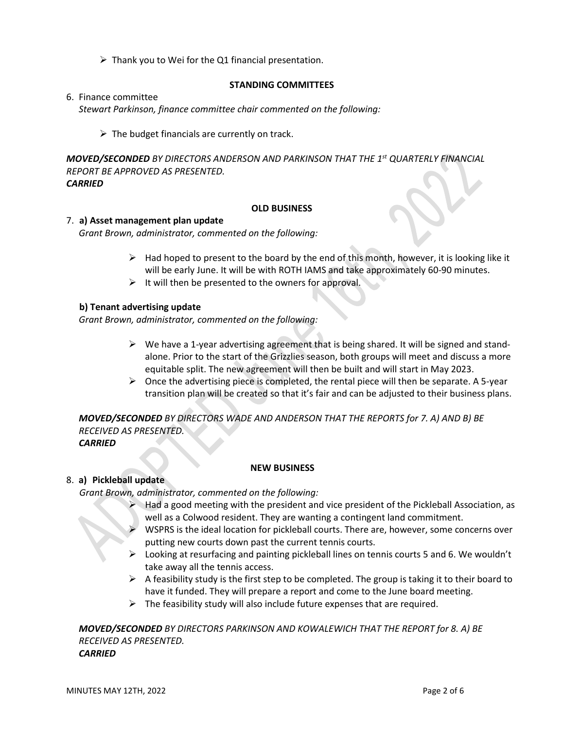$\triangleright$  Thank you to Wei for the Q1 financial presentation.

#### **STANDING COMMITTEES**

6. Finance committee

*Stewart Parkinson, finance committee chair commented on the following:*

 $\triangleright$  The budget financials are currently on track.

*MOVED/SECONDED BY DIRECTORS ANDERSON AND PARKINSON THAT THE 1st QUARTERLY FINANCIAL REPORT BE APPROVED AS PRESENTED. CARRIED* 

#### **OLD BUSINESS**

#### 7. **a) Asset management plan update**

*Grant Brown, administrator, commented on the following:*

- $\triangleright$  Had hoped to present to the board by the end of this month, however, it is looking like it will be early June. It will be with ROTH IAMS and take approximately 60-90 minutes.
- $\triangleright$  It will then be presented to the owners for approval.

## **b) Tenant advertising update**

*Grant Brown, administrator, commented on the following:*

- $\triangleright$  We have a 1-year advertising agreement that is being shared. It will be signed and standalone. Prior to the start of the Grizzlies season, both groups will meet and discuss a more equitable split. The new agreement will then be built and will start in May 2023.
- $\triangleright$  Once the advertising piece is completed, the rental piece will then be separate. A 5-year transition plan will be created so that it's fair and can be adjusted to their business plans.

*MOVED/SECONDED BY DIRECTORS WADE AND ANDERSON THAT THE REPORTS for 7. A) AND B) BE RECEIVED AS PRESENTED.*

*CARRIED*

## **NEW BUSINESS**

## 8. **a) Pickleball update**

*Grant Brown, administrator, commented on the following:*

- Had a good meeting with the president and vice president of the Pickleball Association, as well as a Colwood resident. They are wanting a contingent land commitment.
- ➢ WSPRS is the ideal location for pickleball courts. There are, however, some concerns over putting new courts down past the current tennis courts.
- $\triangleright$  Looking at resurfacing and painting pickleball lines on tennis courts 5 and 6. We wouldn't take away all the tennis access.
- $\triangleright$  A feasibility study is the first step to be completed. The group is taking it to their board to have it funded. They will prepare a report and come to the June board meeting.
- $\triangleright$  The feasibility study will also include future expenses that are required.

*MOVED/SECONDED BY DIRECTORS PARKINSON AND KOWALEWICH THAT THE REPORT for 8. A) BE RECEIVED AS PRESENTED. CARRIED*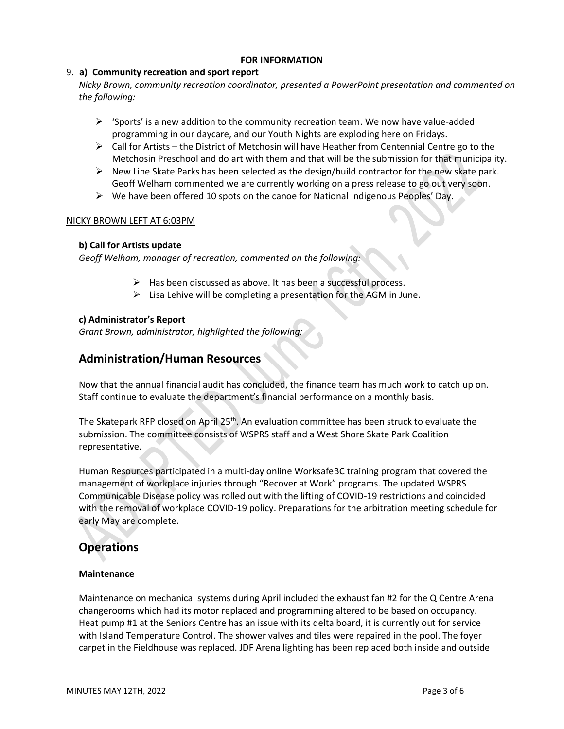#### **FOR INFORMATION**

## 9. **a) Community recreation and sport report**

*Nicky Brown, community recreation coordinator, presented a PowerPoint presentation and commented on the following:*

- $\triangleright$  'Sports' is a new addition to the community recreation team. We now have value-added programming in our daycare, and our Youth Nights are exploding here on Fridays.
- $\triangleright$  Call for Artists the District of Metchosin will have Heather from Centennial Centre go to the Metchosin Preschool and do art with them and that will be the submission for that municipality.
- $\triangleright$  New Line Skate Parks has been selected as the design/build contractor for the new skate park. Geoff Welham commented we are currently working on a press release to go out very soon.
- $\triangleright$  We have been offered 10 spots on the canoe for National Indigenous Peoples' Day.

## NICKY BROWN LEFT AT 6:03PM

## **b) Call for Artists update**

*Geoff Welham, manager of recreation, commented on the following:*

- ➢ Has been discussed as above. It has been a successful process.
- $\triangleright$  Lisa Lehive will be completing a presentation for the AGM in June.

## **c) Administrator's Report**

*Grant Brown, administrator, highlighted the following:*

## **Administration/Human Resources**

Now that the annual financial audit has concluded, the finance team has much work to catch up on. Staff continue to evaluate the department's financial performance on a monthly basis.

The Skatepark RFP closed on April 25<sup>th</sup>. An evaluation committee has been struck to evaluate the submission. The committee consists of WSPRS staff and a West Shore Skate Park Coalition representative.

Human Resources participated in a multi-day online WorksafeBC training program that covered the management of workplace injuries through "Recover at Work" programs. The updated WSPRS Communicable Disease policy was rolled out with the lifting of COVID-19 restrictions and coincided with the removal of workplace COVID-19 policy. Preparations for the arbitration meeting schedule for early May are complete.

## **Operations**

## **Maintenance**

Maintenance on mechanical systems during April included the exhaust fan #2 for the Q Centre Arena changerooms which had its motor replaced and programming altered to be based on occupancy. Heat pump #1 at the Seniors Centre has an issue with its delta board, it is currently out for service with Island Temperature Control. The shower valves and tiles were repaired in the pool. The foyer carpet in the Fieldhouse was replaced. JDF Arena lighting has been replaced both inside and outside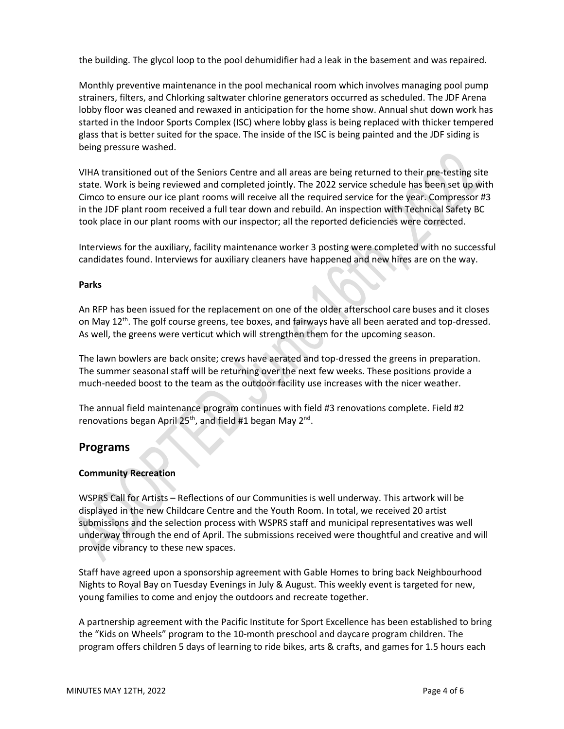the building. The glycol loop to the pool dehumidifier had a leak in the basement and was repaired.

Monthly preventive maintenance in the pool mechanical room which involves managing pool pump strainers, filters, and Chlorking saltwater chlorine generators occurred as scheduled. The JDF Arena lobby floor was cleaned and rewaxed in anticipation for the home show. Annual shut down work has started in the Indoor Sports Complex (ISC) where lobby glass is being replaced with thicker tempered glass that is better suited for the space. The inside of the ISC is being painted and the JDF siding is being pressure washed.

VIHA transitioned out of the Seniors Centre and all areas are being returned to their pre-testing site state. Work is being reviewed and completed jointly. The 2022 service schedule has been set up with Cimco to ensure our ice plant rooms will receive all the required service for the year. Compressor #3 in the JDF plant room received a full tear down and rebuild. An inspection with Technical Safety BC took place in our plant rooms with our inspector; all the reported deficiencies were corrected.

Interviews for the auxiliary, facility maintenance worker 3 posting were completed with no successful candidates found. Interviews for auxiliary cleaners have happened and new hires are on the way.

#### **Parks**

An RFP has been issued for the replacement on one of the older afterschool care buses and it closes on May  $12^{th}$ . The golf course greens, tee boxes, and fairways have all been aerated and top-dressed. As well, the greens were verticut which will strengthen them for the upcoming season.

The lawn bowlers are back onsite; crews have aerated and top-dressed the greens in preparation. The summer seasonal staff will be returning over the next few weeks. These positions provide a much-needed boost to the team as the outdoor facility use increases with the nicer weather.

The annual field maintenance program continues with field #3 renovations complete. Field #2 renovations began April 25<sup>th</sup>, and field #1 began May 2<sup>nd</sup>.

## **Programs**

#### **Community Recreation**

WSPRS Call for Artists – Reflections of our Communities is well underway. This artwork will be displayed in the new Childcare Centre and the Youth Room. In total, we received 20 artist submissions and the selection process with WSPRS staff and municipal representatives was well underway through the end of April. The submissions received were thoughtful and creative and will provide vibrancy to these new spaces.

Staff have agreed upon a sponsorship agreement with Gable Homes to bring back Neighbourhood Nights to Royal Bay on Tuesday Evenings in July & August. This weekly event is targeted for new, young families to come and enjoy the outdoors and recreate together.

A partnership agreement with the Pacific Institute for Sport Excellence has been established to bring the "Kids on Wheels" program to the 10-month preschool and daycare program children. The program offers children 5 days of learning to ride bikes, arts & crafts, and games for 1.5 hours each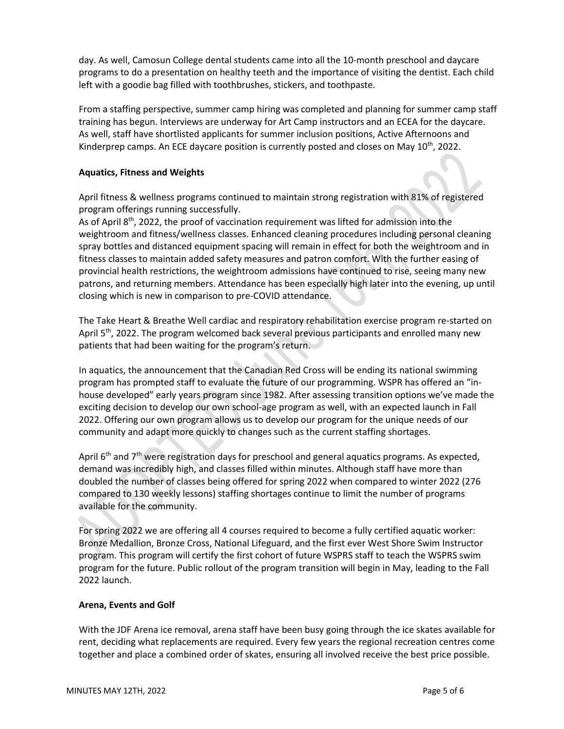day. As well, Camosun College dental students came into all the 10-month preschool and daycare programs to do a presentation on healthy teeth and the importance of visiting the dentist. Each child left with a goodie bag filled with toothbrushes, stickers, and toothpaste.

From a staffing perspective, summer camp hiring was completed and planning for summer camp staff training has begun. Interviews are underway for Art Camp instructors and an ECEA for the daycare. As well, staff have shortlisted applicants for summer inclusion positions, Active Afternoons and Kinderprep camps. An ECE daycare position is currently posted and closes on May 10<sup>th</sup>, 2022.

## **Aquatics, Fitness and Weights**

April fitness & wellness programs continued to maintain strong registration with 81% of registered program offerings running successfully.

As of April  $8<sup>th</sup>$ , 2022, the proof of vaccination requirement was lifted for admission into the weightroom and fitness/wellness classes. Enhanced cleaning procedures including personal cleaning spray bottles and distanced equipment spacing will remain in effect for both the weightroom and in fitness classes to maintain added safety measures and patron comfort. With the further easing of provincial health restrictions, the weightroom admissions have continued to rise, seeing many new patrons, and returning members. Attendance has been especially high later into the evening, up until closing which is new in comparison to pre-COVID attendance.

The Take Heart & Breathe Well cardiac and respiratory rehabilitation exercise program re-started on April 5<sup>th</sup>, 2022. The program welcomed back several previous participants and enrolled many new patients that had been waiting for the program's return.

In aquatics, the announcement that the Canadian Red Cross will be ending its national swimming program has prompted staff to evaluate the future of our programming. WSPR has offered an "inhouse developed" early years program since 1982. After assessing transition options we've made the exciting decision to develop our own school-age program as well, with an expected launch in Fall 2022. Offering our own program allows us to develop our program for the unique needs of our community and adapt more quickly to changes such as the current staffing shortages.

April  $6<sup>th</sup>$  and  $7<sup>th</sup>$  were registration days for preschool and general aquatics programs. As expected, demand was incredibly high, and classes filled within minutes. Although staff have more than doubled the number of classes being offered for spring 2022 when compared to winter 2022 (276 compared to 130 weekly lessons) staffing shortages continue to limit the number of programs available for the community.

For spring 2022 we are offering all 4 courses required to become a fully certified aquatic worker: Bronze Medallion, Bronze Cross, National Lifeguard, and the first ever West Shore Swim Instructor program. This program will certify the first cohort of future WSPRS staff to teach the WSPRS swim program for the future. Public rollout of the program transition will begin in May, leading to the Fall 2022 launch.

## **Arena, Events and Golf**

With the JDF Arena ice removal, arena staff have been busy going through the ice skates available for rent, deciding what replacements are required. Every few years the regional recreation centres come together and place a combined order of skates, ensuring all involved receive the best price possible.